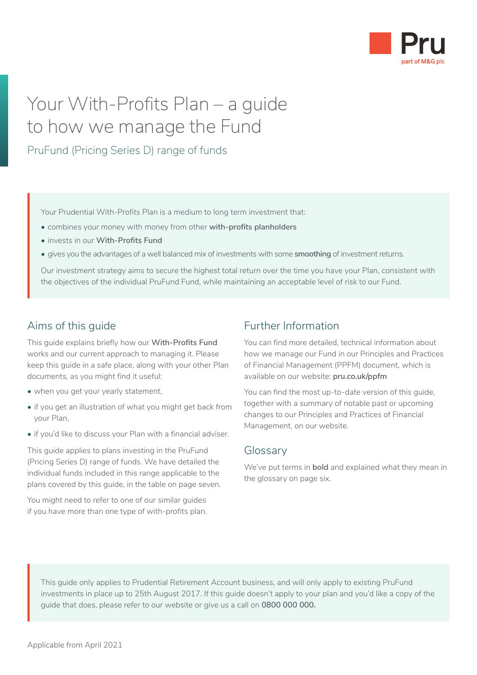

## Your With-Profits Plan – a guide to how we manage the Fund

PruFund (Pricing Series D) range of funds

Your Prudential With-Profits Plan is a medium to long term investment that:

- combines your money with money from other **with-profits planholders**
- invests in our **With-Profits Fund**
- gives you the advantages of a well balanced mix of investments with some **smoothing** of investment returns.

Our investment strategy aims to secure the highest total return over the time you have your Plan, consistent with the objectives of the individual PruFund Fund, while maintaining an acceptable level of risk to our Fund.

## Aims of this guide

This guide explains briefly how our **With-Profits Fund**  works and our current approach to managing it. Please keep this guide in a safe place, along with your other Plan documents, as you might find it useful:

- when you get your yearly statement.
- if you get an illustration of what you might get back from your Plan,
- if you'd like to discuss your Plan with a financial adviser.

This guide applies to plans investing in the PruFund (Pricing Series D) range of funds. We have detailed the individual funds included in this range applicable to the plans covered by this guide, in the table on page seven.

You might need to refer to one of our similar guides if you have more than one type of with-profits plan.

## Further Information

You can find more detailed, technical information about how we manage our Fund in our Principles and Practices of Financial Management (PPFM) document, which is available on our website: **[pru.co.uk/ppfm](https://www.pru.co.uk/funds/ppfm/?utm_source=redirect&utm_medium=301&utm_campaign=/ppfm/)**

You can find the most up-to-date version of this guide, together with a summary of notable past or upcoming changes to our Principles and Practices of Financial Management, on our website.

#### **Glossary**

We've put terms in **bold** and explained what they mean in the glossary on page six.

This guide only applies to Prudential Retirement Account business, and will only apply to existing PruFund investments in place up to 25th August 2017. If this guide doesn't apply to your plan and you'd like a copy of the guide that does, please refer to our website or give us a call on **0800 000 000.**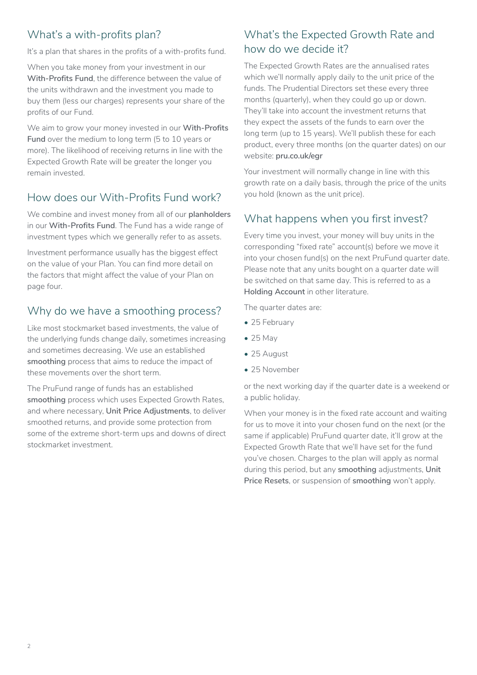## What's a with-profits plan?

It's a plan that shares in the profits of a with-profits fund.

When you take money from your investment in our **With-Profits Fund**, the difference between the value of the units withdrawn and the investment you made to buy them (less our charges) represents your share of the profits of our Fund.

We aim to grow your money invested in our **With-Profits Fund** over the medium to long term (5 to 10 years or more). The likelihood of receiving returns in line with the Expected Growth Rate will be greater the longer you remain invested.

## How does our With-Profits Fund work?

We combine and invest money from all of our **planholders** in our **With-Profits Fund**. The Fund has a wide range of investment types which we generally refer to as assets.

Investment performance usually has the biggest effect on the value of your Plan. You can find more detail on the factors that might affect the value of your Plan on page four.

## Why do we have a smoothing process?

Like most stockmarket based investments, the value of the underlying funds change daily, sometimes increasing and sometimes decreasing. We use an established **smoothing** process that aims to reduce the impact of these movements over the short term.

The PruFund range of funds has an established **smoothing** process which uses Expected Growth Rates, and where necessary, **Unit Price Adjustments**, to deliver smoothed returns, and provide some protection from some of the extreme short-term ups and downs of direct stockmarket investment.

## What's the Expected Growth Rate and how do we decide it?

The Expected Growth Rates are the annualised rates which we'll normally apply daily to the unit price of the funds. The Prudential Directors set these every three months (quarterly), when they could go up or down. They'll take into account the investment returns that they expect the assets of the funds to earn over the long term (up to 15 years). We'll publish these for each product, every three months (on the quarter dates) on our website: **[pru.co.uk/egr](https://www.pru.co.uk/investments/investment-fund-range/prufund-range/?utm_source=redirect&utm_medium=301&utm_campaign=/egr/)**

Your investment will normally change in line with this growth rate on a daily basis, through the price of the units you hold (known as the unit price).

## What happens when you first invest?

Every time you invest, your money will buy units in the corresponding "fixed rate" account(s) before we move it into your chosen fund(s) on the next PruFund quarter date. Please note that any units bought on a quarter date will be switched on that same day. This is referred to as a **Holding Account** in other literature.

The quarter dates are:

- 25 February
- 25 May
- 25 August
- 25 November

or the next working day if the quarter date is a weekend or a public holiday.

When your money is in the fixed rate account and waiting for us to move it into your chosen fund on the next (or the same if applicable) PruFund quarter date, it'll grow at the Expected Growth Rate that we'll have set for the fund you've chosen. Charges to the plan will apply as normal during this period, but any **smoothing** adjustments, **Unit Price Resets**, or suspension of **smoothing** won't apply.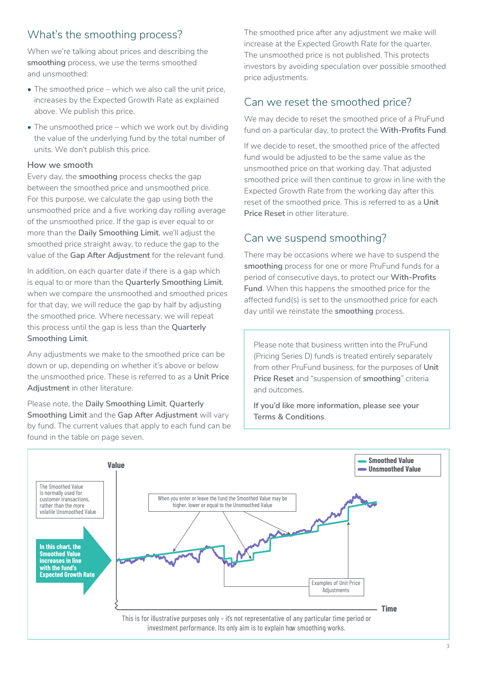## What's the smoothing process?

When we're talking about prices and describing the **smoothing** process, we use the terms smoothed and unsmoothed:

- The smoothed price which we also call the unit price, increases by the Expected Growth Rate as explained above. We publish this price.
- The unsmoothed price which we work out by dividing the value of the underlying fund by the total number of units. We don't publish this price.

#### **How we smooth**

Every day, the **smoothing** process checks the gap between the smoothed price and unsmoothed price. For this purpose, we calculate the gap using both the unsmoothed price and a five working day rolling average of the unsmoothed price. If the gap is ever equal to or more than the **Daily Smoothing Limit**, we'll adjust the smoothed price straight away, to reduce the gap to the value of the **Gap After Adjustment** for the relevant fund.

In addition, on each quarter date if there is a gap which is equal to or more than the **Quarterly Smoothing Limit**, when we compare the unsmoothed and smoothed prices for that day, we will reduce the gap by half by adjusting the smoothed price. Where necessary, we will repeat this process until the gap is less than the **Quarterly Smoothing Limit**.

Any adjustments we make to the smoothed price can be down or up, depending on whether it's above or below the unsmoothed price. These is referred to as a **Unit Price Adjustment** in other literature.

Please note, the **Daily Smoothing Limit**, **Quarterly Smoothing Limit** and the **Gap After Adjustment** will vary by fund. The current values that apply to each fund can be found in the table on page seven.

The smoothed price after any adjustment we make will increase at the Expected Growth Rate for the quarter. The unsmoothed price is not published. This protects investors by avoiding speculation over possible smoothed price adjustments.

## Can we reset the smoothed price?

We may decide to reset the smoothed price of a PruFund fund on a particular day, to protect the **With-Profits Fund**.

If we decide to reset, the smoothed price of the affected fund would be adjusted to be the same value as the unsmoothed price on that working day. That adjusted smoothed price will then continue to grow in line with the Expected Growth Rate from the working day after this reset of the smoothed price. This is referred to as a **Unit Price Reset** in other literature.

## Can we suspend smoothing?

There may be occasions where we have to suspend the **smoothing** process for one or more PruFund funds for a period of consecutive days, to protect our **With-Profits Fund**. When this happens the smoothed price for the affected fund(s) is set to the unsmoothed price for each day until we reinstate the **smoothing** process.

Please note that business written into the PruFund (Pricing Series D) funds is treated entirely separately from other PruFund business, for the purposes of **Unit Price Reset** and "suspension of **smoothing**" criteria and outcomes.

**If you'd like more information, please see your Terms & Conditions**.

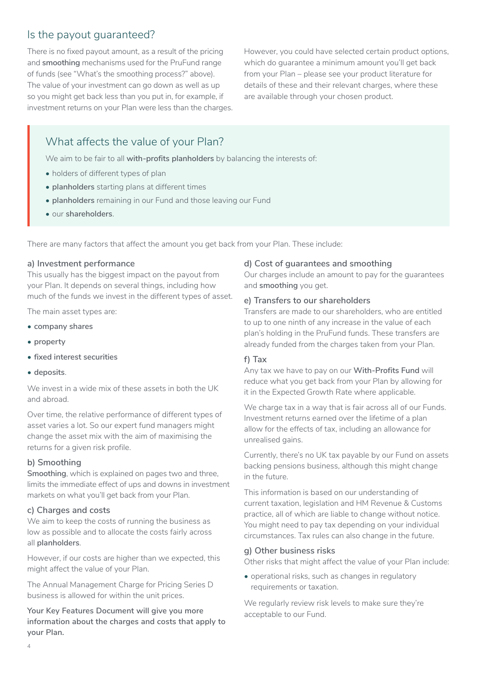## Is the payout guaranteed?

There is no fixed payout amount, as a result of the pricing and **smoothing** mechanisms used for the PruFund range of funds (see "What's the smoothing process?" above). The value of your investment can go down as well as up so you might get back less than you put in, for example, if investment returns on your Plan were less than the charges. However, you could have selected certain product options, which do guarantee a minimum amount you'll get back from your Plan – please see your product literature for details of these and their relevant charges, where these are available through your chosen product.

## What affects the value of your Plan?

We aim to be fair to all **with-profits planholders** by balancing the interests of:

- holders of different types of plan
- **planholders** starting plans at different times
- **planholders** remaining in our Fund and those leaving our Fund
- our **shareholders**.

There are many factors that affect the amount you get back from your Plan. These include:

#### **a) Investment performance**

This usually has the biggest impact on the payout from your Plan. It depends on several things, including how much of the funds we invest in the different types of asset.

The main asset types are:

- **company shares**
- **property**
- **fixed interest securities**
- **deposits**.

We invest in a wide mix of these assets in both the UK and abroad.

Over time, the relative performance of different types of asset varies a lot. So our expert fund managers might change the asset mix with the aim of maximising the returns for a given risk profile.

#### **b) Smoothing**

**Smoothing**, which is explained on pages two and three, limits the immediate effect of ups and downs in investment markets on what you'll get back from your Plan.

#### **c) Charges and costs**

We aim to keep the costs of running the business as low as possible and to allocate the costs fairly across all **planholders**.

However, if our costs are higher than we expected, this might affect the value of your Plan.

The Annual Management Charge for Pricing Series D business is allowed for within the unit prices.

**Your Key Features Document will give you more information about the charges and costs that apply to your Plan.**

#### **d) Cost of guarantees and smoothing**

Our charges include an amount to pay for the guarantees and **smoothing** you get.

#### **e) Transfers to our shareholders**

Transfers are made to our shareholders, who are entitled to up to one ninth of any increase in the value of each plan's holding in the PruFund funds. These transfers are already funded from the charges taken from your Plan.

#### **f) Tax**

Any tax we have to pay on our **With-Profits Fund** will reduce what you get back from your Plan by allowing for it in the Expected Growth Rate where applicable.

We charge tax in a way that is fair across all of our Funds. Investment returns earned over the lifetime of a plan allow for the effects of tax, including an allowance for unrealised gains.

Currently, there's no UK tax payable by our Fund on assets backing pensions business, although this might change in the future.

This information is based on our understanding of current taxation, legislation and HM Revenue & Customs practice, all of which are liable to change without notice. You might need to pay tax depending on your individual circumstances. Tax rules can also change in the future.

#### **g) Other business risks**

Other risks that might affect the value of your Plan include:

• operational risks, such as changes in regulatory requirements or taxation.

We regularly review risk levels to make sure they're acceptable to our Fund.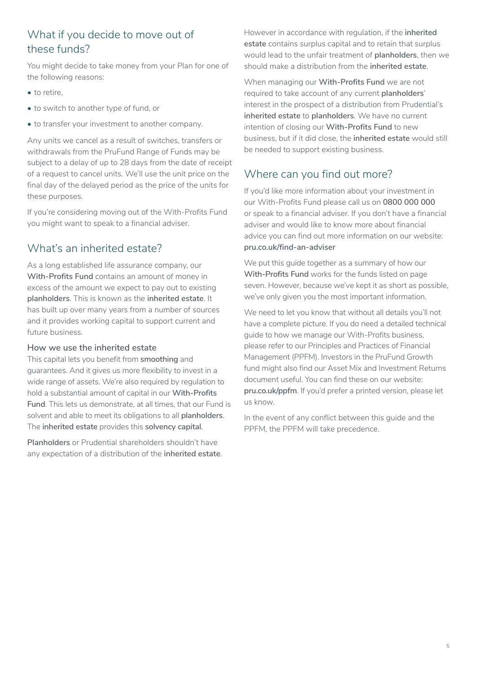## What if you decide to move out of these funds?

You might decide to take money from your Plan for one of the following reasons:

- to retire.
- to switch to another type of fund, or
- to transfer your investment to another company.

Any units we cancel as a result of switches, transfers or withdrawals from the PruFund Range of Funds may be subject to a delay of up to 28 days from the date of receipt of a request to cancel units. We'll use the unit price on the final day of the delayed period as the price of the units for these purposes.

If you're considering moving out of the With-Profits Fund you might want to speak to a financial adviser.

## What's an inherited estate?

As a long established life assurance company, our **With-Profits Fund** contains an amount of money in excess of the amount we expect to pay out to existing **planholders**. This is known as the **inherited estate**. It has built up over many years from a number of sources and it provides working capital to support current and future business.

#### **How we use the inherited estate**

This capital lets you benefit from **smoothing** and guarantees. And it gives us more flexibility to invest in a wide range of assets. We're also required by regulation to hold a substantial amount of capital in our **With-Profits Fund**. This lets us demonstrate, at all times, that our Fund is solvent and able to meet its obligations to all **planholders**. The **inherited estate** provides this **solvency capital**.

**Planholders** or Prudential shareholders shouldn't have any expectation of a distribution of the **inherited estate**. However in accordance with regulation, if the **inherited estate** contains surplus capital and to retain that surplus would lead to the unfair treatment of **planholders**, then we should make a distribution from the **inherited estate**.

When managing our **With-Profits Fund** we are not required to take account of any current **planholders**' interest in the prospect of a distribution from Prudential's **inherited estate** to **planholders**. We have no current intention of closing our **With-Profits Fund** to new business, but if it did close, the **inherited estate** would still be needed to support existing business.

## Where can you find out more?

If you'd like more information about your investment in our With-Profits Fund please call us on **0800 000 000** or speak to a financial adviser. If you don't have a financial adviser and would like to know more about financial advice you can find out more information on our website: **[pru.co.uk/find-an-adviser](http://pru.co.uk/find-an-adviser)**

We put this guide together as a summary of how our **With-Profits Fund** works for the funds listed on page seven. However, because we've kept it as short as possible, we've only given you the most important information.

We need to let you know that without all details you'll not have a complete picture. If you do need a detailed technical guide to how we manage our With-Profits business, please refer to our Principles and Practices of Financial Management (PPFM). Investors in the PruFund Growth fund might also find our Asset Mix and Investment Returns document useful. You can find these on our website: **[pru.co.uk/ppfm](http://pru.co.uk/ppfm)**. If you'd prefer a printed version, please let us know.

In the event of any conflict between this guide and the PPFM, the PPFM will take precedence.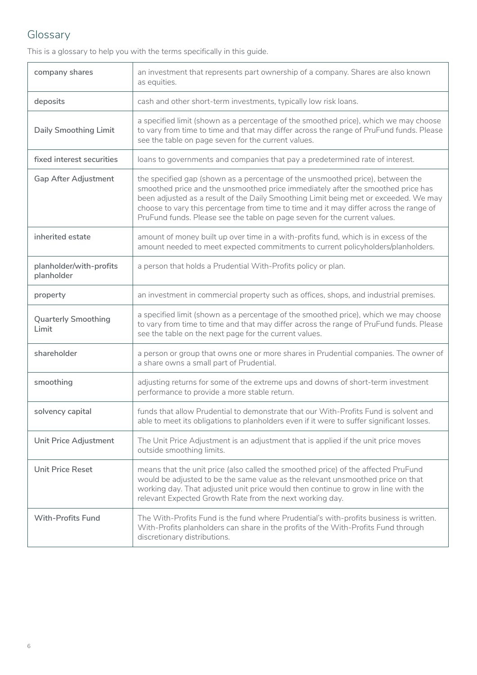## Glossary

This is a glossary to help you with the terms specifically in this guide.

| company shares                        | an investment that represents part ownership of a company. Shares are also known<br>as equities.                                                                                                                                                                                                                                                                                                                                  |  |
|---------------------------------------|-----------------------------------------------------------------------------------------------------------------------------------------------------------------------------------------------------------------------------------------------------------------------------------------------------------------------------------------------------------------------------------------------------------------------------------|--|
| deposits                              | cash and other short-term investments, typically low risk loans.                                                                                                                                                                                                                                                                                                                                                                  |  |
| <b>Daily Smoothing Limit</b>          | a specified limit (shown as a percentage of the smoothed price), which we may choose<br>to vary from time to time and that may differ across the range of PruFund funds. Please<br>see the table on page seven for the current values.                                                                                                                                                                                            |  |
| fixed interest securities             | loans to governments and companies that pay a predetermined rate of interest.                                                                                                                                                                                                                                                                                                                                                     |  |
| <b>Gap After Adjustment</b>           | the specified gap (shown as a percentage of the unsmoothed price), between the<br>smoothed price and the unsmoothed price immediately after the smoothed price has<br>been adjusted as a result of the Daily Smoothing Limit being met or exceeded. We may<br>choose to vary this percentage from time to time and it may differ across the range of<br>PruFund funds. Please see the table on page seven for the current values. |  |
| inherited estate                      | amount of money built up over time in a with-profits fund, which is in excess of the<br>amount needed to meet expected commitments to current policyholders/planholders.                                                                                                                                                                                                                                                          |  |
| planholder/with-profits<br>planholder | a person that holds a Prudential With-Profits policy or plan.                                                                                                                                                                                                                                                                                                                                                                     |  |
| property                              | an investment in commercial property such as offices, shops, and industrial premises.                                                                                                                                                                                                                                                                                                                                             |  |
| <b>Quarterly Smoothing</b><br>Limit   | a specified limit (shown as a percentage of the smoothed price), which we may choose<br>to vary from time to time and that may differ across the range of PruFund funds. Please<br>see the table on the next page for the current values.                                                                                                                                                                                         |  |
| shareholder                           | a person or group that owns one or more shares in Prudential companies. The owner of<br>a share owns a small part of Prudential.                                                                                                                                                                                                                                                                                                  |  |
| smoothing                             | adjusting returns for some of the extreme ups and downs of short-term investment<br>performance to provide a more stable return.                                                                                                                                                                                                                                                                                                  |  |
| solvency capital                      | funds that allow Prudential to demonstrate that our With-Profits Fund is solvent and<br>able to meet its obligations to planholders even if it were to suffer significant losses.                                                                                                                                                                                                                                                 |  |
| Unit Price Adjustment                 | The Unit Price Adjustment is an adjustment that is applied if the unit price moves<br>outside smoothing limits.                                                                                                                                                                                                                                                                                                                   |  |
| <b>Unit Price Reset</b>               | means that the unit price (also called the smoothed price) of the affected PruFund<br>would be adjusted to be the same value as the relevant unsmoothed price on that<br>working day. That adjusted unit price would then continue to grow in line with the<br>relevant Expected Growth Rate from the next working day.                                                                                                           |  |
| <b>With-Profits Fund</b>              | The With-Profits Fund is the fund where Prudential's with-profits business is written.<br>With-Profits planholders can share in the profits of the With-Profits Fund through<br>discretionary distributions.                                                                                                                                                                                                                      |  |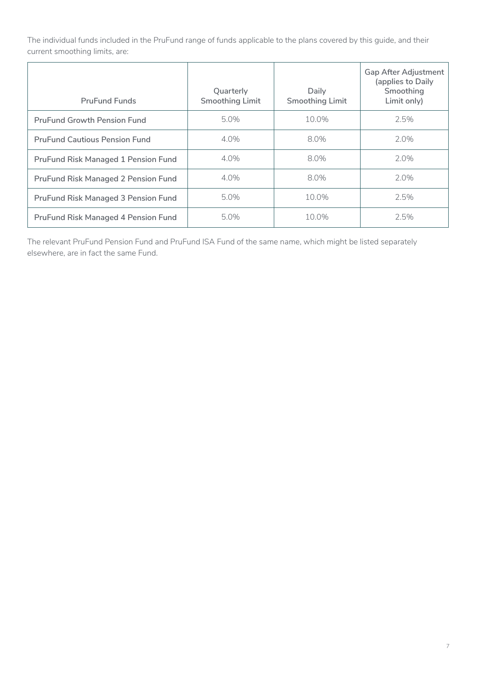The individual funds included in the PruFund range of funds applicable to the plans covered by this guide, and their current smoothing limits, are:

| <b>PruFund Funds</b>                       | Quarterly<br><b>Smoothing Limit</b> | Daily<br><b>Smoothing Limit</b> | <b>Gap After Adjustment</b><br>(applies to Daily<br>Smoothing<br>Limit only) |
|--------------------------------------------|-------------------------------------|---------------------------------|------------------------------------------------------------------------------|
| <b>PruFund Growth Pension Fund</b>         | 5.0%                                | 10.0%                           | 2.5%                                                                         |
| <b>PruFund Cautious Pension Fund</b>       | 4.0%                                | 8.0%                            | 2.0%                                                                         |
| <b>PruFund Risk Managed 1 Pension Fund</b> | 4.0%                                | 8.0%                            | 2.0%                                                                         |
| <b>PruFund Risk Managed 2 Pension Fund</b> | 4.0%                                | 8.0%                            | 2.0%                                                                         |
| <b>PruFund Risk Managed 3 Pension Fund</b> | 5.0%                                | 10.0%                           | 2.5%                                                                         |
| <b>PruFund Risk Managed 4 Pension Fund</b> | 5.0%                                | 10.0%                           | 2.5%                                                                         |

The relevant PruFund Pension Fund and PruFund ISA Fund of the same name, which might be listed separately elsewhere, are in fact the same Fund.